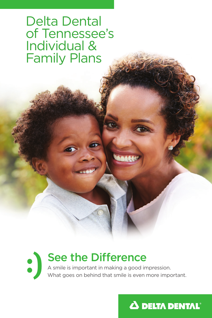Delta Dental of Tennessee's Individual & Family Plans



# See the Difference

A smile is important in making a good impression. What goes on behind that smile is even more important.

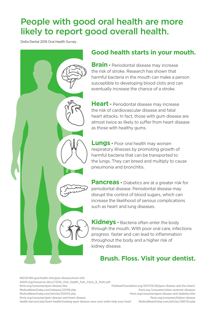# People with good oral health are more likely to report good overall health.

Delta Dental 2016 Oral Health Survey

## **Good health starts in your mouth.**

**Brain** • Periodontal disease may increase the risk of stroke. Research has shown that harmful bacteria in the mouth can make a person susceptible to developing blood clots and can eventually increase the chance of a stroke.

**Heart** • Periodontal disease may increase the risk of cardiovascular disease and fatal heart attacks. In fact, those with gum disease are almost twice as likely to suffer from heart disease as those with healthy gums.

**Lungs** • Poor oral health may worsen respiratory illnesses by promoting growth of harmful bacteria that can be transported to the lungs. They can breed and multiply to cause pneumonia and bronchitis.

**Pancreas** • Diabetics are at a greater risk for periodontal disease. Periodontal disease may disrupt the control of blood sugars, which can increase the likelihood of serious complications such as heart and lung diseases.

**Kidneys** • Bacteria often enter the body through the mouth. WIth poor oral care, infections progress faster and can lead to inflammation throughout the body and a higher risk of kidney disease.

## **Brush. Floss. Visit your dentist.**

NIDCR.NIH.gov/health-info/gum-disease/more-info ADHA.org/resources-docs/72210\_Oral\_Health\_Fast\_Facts\_&\_Stats.pdf Perio.org/consumer/gum-disease.htm MedicalNewsToday.com/releases/221159.php MedicalNewsToday.com/articles/200132.php Perio.org/consumer/gum-disease-and-heart-disease Health.Harvard.edu/heart-health/treating-gum-disease-save-your-smile-help-your-heart

TheHeartFoundation.org/2017/05/26/gum-disease-and-the-heart/ Perio.org /consumer/other-systemic-diseases Perio.org/consumer/gum-disease-and-diabetes.htm Perio.org/consumer/kidney-disease MedicalNewsToday.com/articles/306724.php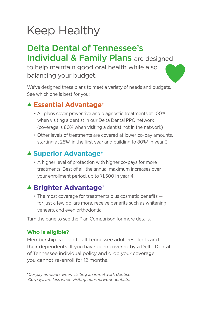# Keep Healthy

## Delta Dental of Tennessee's Individual & Family Plans are designed

to help maintain good oral health while also balancing your budget.

We've designed these plans to meet a variety of needs and budgets. See which one is best for you:

## ▲ **Essential Advantage®**

- All plans cover preventive and diagnostic treatments at 100% when visiting a dentist in our Delta Dental PPO network (coverage is 80% when visiting a dentist not in the network)
- Other levels of treatments are covered at lower co-pay amounts, starting at 25%\* in the first year and building to 80%\* in year 3.

## ▲ Superior Advantage<sup>®</sup>

• A higher level of protection with higher co-pays for more treatments. Best of all, the annual maximum increases over your enrollment period, up to \$1,500 in year 4.

## **▲ Brighter Advantage®**

• The most coverage for treatments plus cosmetic benefits for just a few dollars more, receive benefits such as whitening, veneers, and even orthodontia!

Turn the page to see the Plan Comparison for more details.

### **Who is eligible?**

Membership is open to all Tennessee adult residents and their dependents. If you have been covered by a Delta Dental of Tennessee individual policy and drop your coverage, you cannot re-enroll for 12 months.

<sup>u</sup>*Co-pay amounts when visiting an in-network dentist. Co-pays are less when visiting non-network dentists.*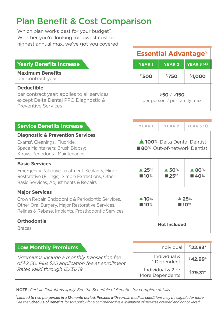# Plan Benefit & Cost Comparison

Which plan works best for your budget? Whether you're looking for lowest cost or highest annual max, we've got you covered!

|                                                                                                                                       | <b>Essential Advantage<sup>®</sup></b>     |               |              |
|---------------------------------------------------------------------------------------------------------------------------------------|--------------------------------------------|---------------|--------------|
| Yearly Benefits Increase                                                                                                              | <b>YEAR1</b>                               | <b>YEAR 2</b> | YEAR $3 (+)$ |
| <b>Maximum Benefits</b><br>per contract year                                                                                          | \$500                                      | \$750         | \$1,000      |
| <b>Deductible</b><br>per contract year; applies to all services<br>except Delta Dental PPO Diagnostic &<br><b>Preventive Services</b> | \$50/ \$150<br>per person / per family max |               |              |

| <b>Service Benefits Increase</b>                                                                                                                                                   | YEAR <sub>1</sub>                          | <b>YEAR 2</b>                         | YEAR $3 (+)$                 |
|------------------------------------------------------------------------------------------------------------------------------------------------------------------------------------|--------------------------------------------|---------------------------------------|------------------------------|
| <b>Diagnostic &amp; Prevention Services</b><br>Exams <sup>1</sup> , Cleanings <sup>1</sup> , Fluoride,<br>Space Maintainers; Brush Biopsy;<br>X-rays; Periodontal Maintenance      |                                            | 100% Delta Dental Dentist             | ■ 80% Out-of-network Dentist |
| <b>Basic Services</b><br>Emergency Palliative Treatment, Sealants, Minor<br>Restorative (Fillings), Simple Extractions, Other<br>Basic Services, Adjustments & Repairs             | $\blacktriangle$ 25%<br>$\blacksquare$ 10% | $\triangle$ 50%<br>$\blacksquare$ 25% | $\blacktriangle$ 80%<br>■40% |
| <b>Major Services</b><br>Crown Repair, Endodontic & Periodontic Services,<br>Other Oral Surgery, Major Restorative Services,<br>Relines & Rebase, Implants, Prosthodontic Services | $\blacktriangle$ 10%<br>$\blacksquare$ 10% | $\triangle$ 25%<br>$\blacksquare$ 10% |                              |
| <b>Orthodontia</b><br><b>Braces</b>                                                                                                                                                |                                            | Not Included                          |                              |

| Low Monthly Premiums                                                                               | Individual                           | <sup>\$</sup> 22.93* |
|----------------------------------------------------------------------------------------------------|--------------------------------------|----------------------|
| *Premiums include a monthly transaction fee<br>of \$2.50. Plus \$25 application fee at enrollment. | Individual &<br>Dependent            | ∮42.99*              |
| Rates valid through 12/31/19.                                                                      | Individual & 2 or<br>More Dependents | $$79.31*$            |

NOTE: *Certain limitations apply. See the Schedule of Benefits for complete details.*

1 *Limited to two per person in a 12-month period. Persons with certain medical conditions may be eligible for more. See the* Schedule of Benefits *for this policy for a comprehensive explanation of services covered and not covered.*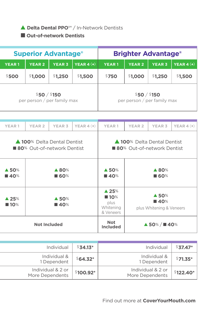### s **Delta Dental PPO**℠ / In-Network Dentists

### **n** Out-of-network Dentists

|              | <b>Superior Advantage®</b> |                |                             |                    |              |               | <b>Brighter Advantage®</b>  |                |
|--------------|----------------------------|----------------|-----------------------------|--------------------|--------------|---------------|-----------------------------|----------------|
| <b>YEAR1</b> |                            | <b>YEAR 2</b>  | <b>YEAR 3</b>               | $\vert$ YEAR 4 (+) | <b>YEAR1</b> | <b>YEAR 2</b> | <b>YEAR 3</b>               | YEAR $4 (+)$   |
| \$500        |                            | <b>\$1,000</b> | \$1,250                     | \$1,500            | \$750        | \$1,000       | <b>1,250</b>                | <b>\$1,500</b> |
|              |                            | \$50/ \$150    | per person / per family max |                    |              | \$50/ \$150   | per person / per family max |                |

| $$37.47^*$ | Individual                           | $$34.13*$ | Individual                           |
|------------|--------------------------------------|-----------|--------------------------------------|
| $$71.35*$  | Individual &<br>1 Dependent          | $$64.32*$ | Individual &<br>1 Dependent          |
| \$122.40*  | Individual & 2 or<br>More Dependents | \$100.92* | Individual & 2 or<br>More Dependents |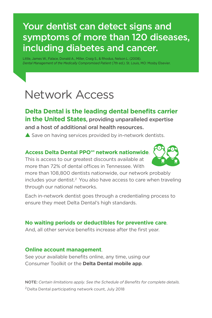# Your dentist can detect signs and symptoms of more than 120 diseases, including diabetes and cancer.

Little, James W., Falace, Donald A., Miller, Craig S., & Rhodus, Nelson L. (2008). *Dental Management of the Medically Compromised Patient* (7th ed.). St. Louis, MO: Mosby Elsevier.

# Network Access

**Delta Dental is the leading dental benefits carrier in the United States**, providing unparalleled expertise and a host of additional oral health resources.

 $\triangle$  Save on having services provided by in-network dentists.

### **Access Delta Dental PPO℠ network nationwide**.

This is access to our greatest discounts available at more than 72% of dental offices in Tennessee. With



more than 108,800 dentists nationwide, our network probably includes your dentist.<sup>2</sup> You also have access to care when traveling through our national networks.

Each in-network dentist goes through a credentialing process to ensure they meet Delta Dental's high standards.

### **No waiting periods or deductibles for preventive care**.

And, all other service benefits increase after the first year.

#### **Online account management**.

See your available benefits online, any time, using our Consumer Toolkit or the **Delta Dental mobile app**.

NOTE: *Certain limitations apply. See the Schedule of Benefits for complete details.* 2Delta Dental participating network count, July 2018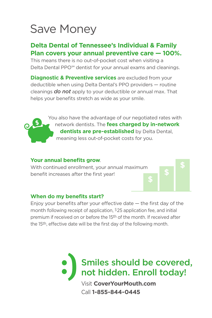# Save Money

## **Delta Dental of Tennessee's Individual & Family Plan covers your annual preventive care — 100%.**

This means there is no out-of-pocket cost when visiting a Delta Dental PPO<sup>™</sup> dentist for your annual exams and cleanings.

**Diagnostic & Preventive services** are excluded from your deductible when using Delta Dental's PPO providers — routine cleanings *do not* apply to your deductible or annual max. That helps your benefits stretch as wide as your smile.

> You also have the advantage of our negotiated rates with network dentists. The **fees charged by in-network dentists are pre-established** by Delta Dental, meaning less out-of-pocket costs for you.

#### **Your annual benefits grow**.

With continued enrollment, your annual maximum benefit increases after the first year!

#### **When do my benefits start?**

Enjoy your benefits after your effective date  $-$  the first day of the month following receipt of application, \$25 application fee, and initial premium if received on or before the 15th of the month. If received after the 15th, effective date will be the first day of the following month.



Call **1-855-844-0445**